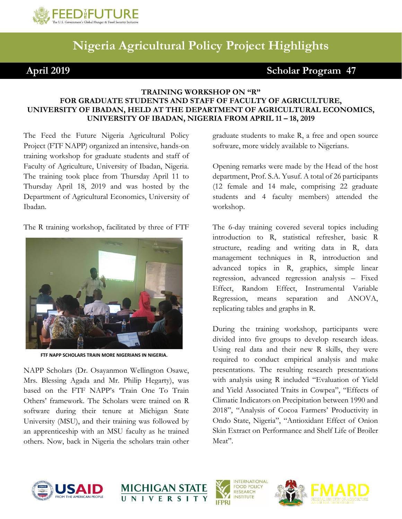

## **Nigeria Agricultural Policy Project Highlights**

**April 2019 Scholar Program 47**

## **TRAINING WORKSHOP ON "R" FOR GRADUATE STUDENTS AND STAFF OF FACULTY OF AGRICULTURE, UNIVERSITY OF IBADAN, HELD AT THE DEPARTMENT OF AGRICULTURAL ECONOMICS, UNIVERSITY OF IBADAN, NIGERIA FROM APRIL 11 - 18, 2019**

The Feed the Future Nigeria Agricultural Policy Project (FTF NAPP) organized an intensive, hands-on training workshop for graduate students and staff of Faculty of Agriculture, University of Ibadan, Nigeria. The training took place from Thursday April 11 to Thursday April 18, 2019 and was hosted by the Department of Agricultural Economics, University of Ibadan.

The R training workshop, facilitated by three of FTF



**FTF NAPP SCHOLARS TRAIN MORE NIGERIANS IN NIGERIA.**

NAPP Scholars (Dr. Osayanmon Wellington Osawe, Mrs. Blessing Agada and Mr. Philip Hegarty), was based on the FTF NAPP's 'Train One To Train Others' framework. The Scholars were trained on R software during their tenure at Michigan State University (MSU), and their training was followed by an apprenticeship with an MSU faculty as he trained others. Now, back in Nigeria the scholars train other

graduate students to make R, a free and open source software, more widely available to Nigerians.

Opening remarks were made by the Head of the host department, Prof. S.A. Yusuf. A total of 26 participants (12 female and 14 male, comprising 22 graduate students and 4 faculty members) attended the workshop.

The 6-day training covered several topics including introduction to R, statistical refresher, basic R structure, reading and writing data in R, data management techniques in R, introduction and advanced topics in R, graphics, simple linear regression, advanced regression analysis – Fixed Effect, Random Effect, Instrumental Variable Regression, means separation and ANOVA, replicating tables and graphs in R.

During the training workshop, participants were divided into five groups to develop research ideas. Using real data and their new R skills, they were required to conduct empirical analysis and make presentations. The resulting research presentations with analysis using R included "Evaluation of Yield and Yield Associated Traits in Cowpea", "Effects of Climatic Indicators on Precipitation between 1990 and 2018", "Analysis of Cocoa Farmers' Productivity in Ondo State, Nigeria", "Antioxidant Effect of Onion Skin Extract on Performance and Shelf Life of Broiler Meat".